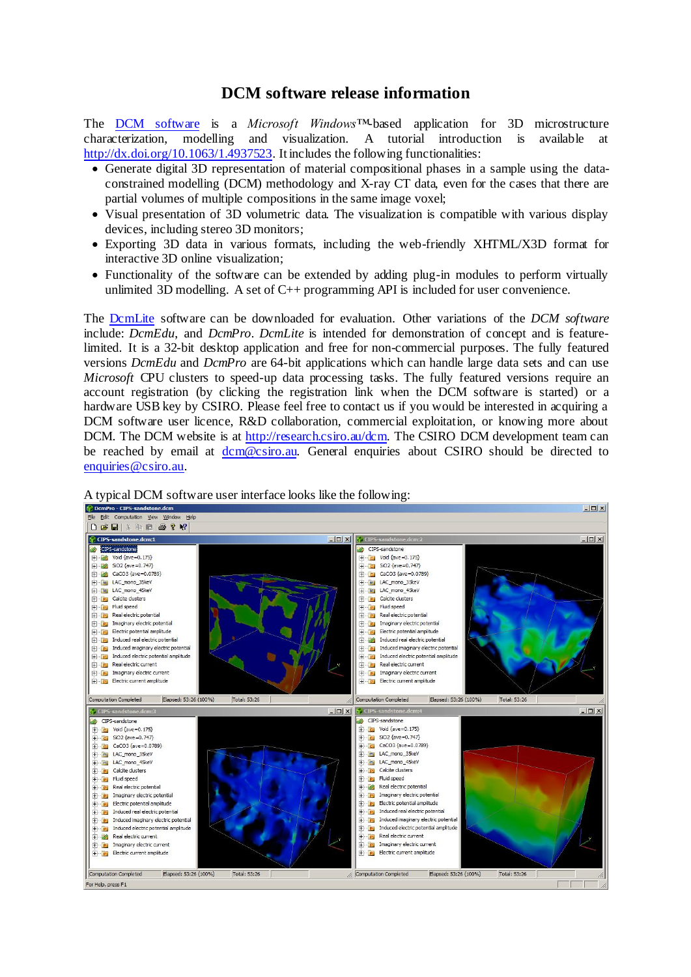## **DCM software release information**

The [DCM software](https://data.csiro.au/dap/landingpage?pid=csiro:9448) is a *Microsoft Windows™*-based application for 3D microstructure characterization, modelling and visualization. A tutorial introduction is available at <http://dx.doi.org/10.1063/1.4937523>. It includes the following functionalities:

- Generate digital 3D representation of material compositional phases in a sample using the dataconstrained modelling (DCM) methodology and X-ray CT data, even for the cases that there are partial volumes of multiple compositions in the same image voxel;
- Visual presentation of 3D volumetric data. The visualization is compatible with various display devices, including stereo 3D monitors;
- Exporting 3D data in various formats, including the web-friendly XHTML/X3D format for interactive 3D online visualization;
- Functionality of the software can be extended by adding plug-in modules to perform virtually unlimited 3D modelling. A set of C++ programming API is included for user convenience.

The [DcmLite](http://research.csiro.au/static/dcm/Software/dcm_download.php?file=DcmLite-setup.exe) software can be downloaded for evaluation. Other variations of the *DCM software* include: *DcmEdu*, and *DcmPro*. *DcmLite* is intended for demonstration of concept and is featurelimited. It is a 32-bit desktop application and free for non-commercial purposes. The fully featured versions *DcmEdu* and *DcmPro* are 64-bit applications which can handle large data sets and can use *Microsoft* CPU clusters to speed-up data processing tasks. The fully featured versions require an account registration (by clicking the registration link when the DCM software is started) or a hardware USB key by CSIRO. Please feel free to contact us if you would be interested in acquiring a DCM software user licence, R&D collaboration, commercial exploitation, or knowing more about DCM. The DCM website is a[t http://research.csiro.au/dcm.](http://research.csiro.au/dcm) The CSIRO DCM development team can be reached by email at [dcm@csiro.au.](mailto:dcm@csiro.au) General enquiries about CSIRO should be directed to [enquiries@csiro.au.](mailto:enquiries@csiro.au)



A typical DCM software user interface looks like the following: